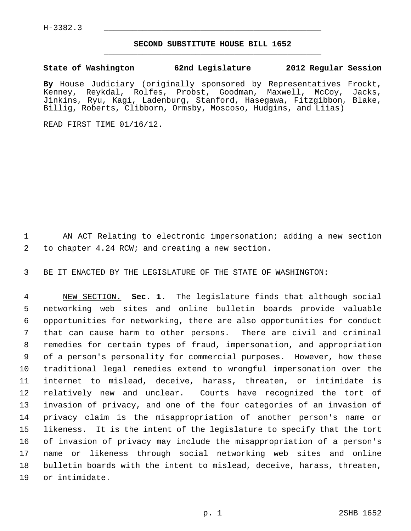## **SECOND SUBSTITUTE HOUSE BILL 1652** \_\_\_\_\_\_\_\_\_\_\_\_\_\_\_\_\_\_\_\_\_\_\_\_\_\_\_\_\_\_\_\_\_\_\_\_\_\_\_\_\_\_\_\_\_

## **State of Washington 62nd Legislature 2012 Regular Session**

**By** House Judiciary (originally sponsored by Representatives Frockt, Kenney, Reykdal, Rolfes, Probst, Goodman, Maxwell, McCoy, Jacks, Jinkins, Ryu, Kagi, Ladenburg, Stanford, Hasegawa, Fitzgibbon, Blake, Billig, Roberts, Clibborn, Ormsby, Moscoso, Hudgins, and Liias)

READ FIRST TIME 01/16/12.

 1 AN ACT Relating to electronic impersonation; adding a new section 2 to chapter 4.24 RCW; and creating a new section.

3 BE IT ENACTED BY THE LEGISLATURE OF THE STATE OF WASHINGTON:

 4 NEW SECTION. **Sec. 1.** The legislature finds that although social 5 networking web sites and online bulletin boards provide valuable 6 opportunities for networking, there are also opportunities for conduct 7 that can cause harm to other persons. There are civil and criminal 8 remedies for certain types of fraud, impersonation, and appropriation 9 of a person's personality for commercial purposes. However, how these 10 traditional legal remedies extend to wrongful impersonation over the 11 internet to mislead, deceive, harass, threaten, or intimidate is 12 relatively new and unclear. Courts have recognized the tort of 13 invasion of privacy, and one of the four categories of an invasion of 14 privacy claim is the misappropriation of another person's name or 15 likeness. It is the intent of the legislature to specify that the tort 16 of invasion of privacy may include the misappropriation of a person's 17 name or likeness through social networking web sites and online 18 bulletin boards with the intent to mislead, deceive, harass, threaten, 19 or intimidate.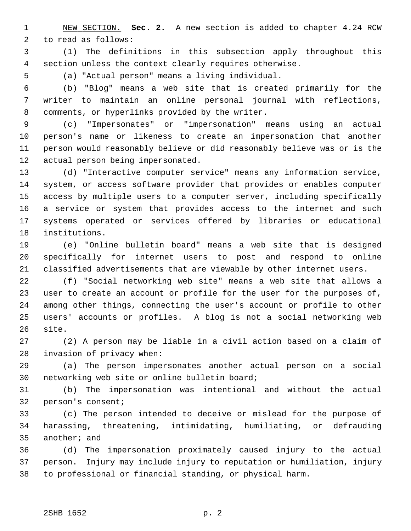1 NEW SECTION. **Sec. 2.** A new section is added to chapter 4.24 RCW 2 to read as follows:

 3 (1) The definitions in this subsection apply throughout this 4 section unless the context clearly requires otherwise.

5 (a) "Actual person" means a living individual.

 6 (b) "Blog" means a web site that is created primarily for the 7 writer to maintain an online personal journal with reflections, 8 comments, or hyperlinks provided by the writer.

 9 (c) "Impersonates" or "impersonation" means using an actual 10 person's name or likeness to create an impersonation that another 11 person would reasonably believe or did reasonably believe was or is the 12 actual person being impersonated.

13 (d) "Interactive computer service" means any information service, 14 system, or access software provider that provides or enables computer 15 access by multiple users to a computer server, including specifically 16 a service or system that provides access to the internet and such 17 systems operated or services offered by libraries or educational 18 institutions.

19 (e) "Online bulletin board" means a web site that is designed 20 specifically for internet users to post and respond to online 21 classified advertisements that are viewable by other internet users.

22 (f) "Social networking web site" means a web site that allows a 23 user to create an account or profile for the user for the purposes of, 24 among other things, connecting the user's account or profile to other 25 users' accounts or profiles. A blog is not a social networking web 26 site.

27 (2) A person may be liable in a civil action based on a claim of 28 invasion of privacy when:

29 (a) The person impersonates another actual person on a social 30 networking web site or online bulletin board;

31 (b) The impersonation was intentional and without the actual 32 person's consent;

33 (c) The person intended to deceive or mislead for the purpose of 34 harassing, threatening, intimidating, humiliating, or defrauding 35 another; and

36 (d) The impersonation proximately caused injury to the actual 37 person. Injury may include injury to reputation or humiliation, injury 38 to professional or financial standing, or physical harm.

## 2SHB 1652 p. 2